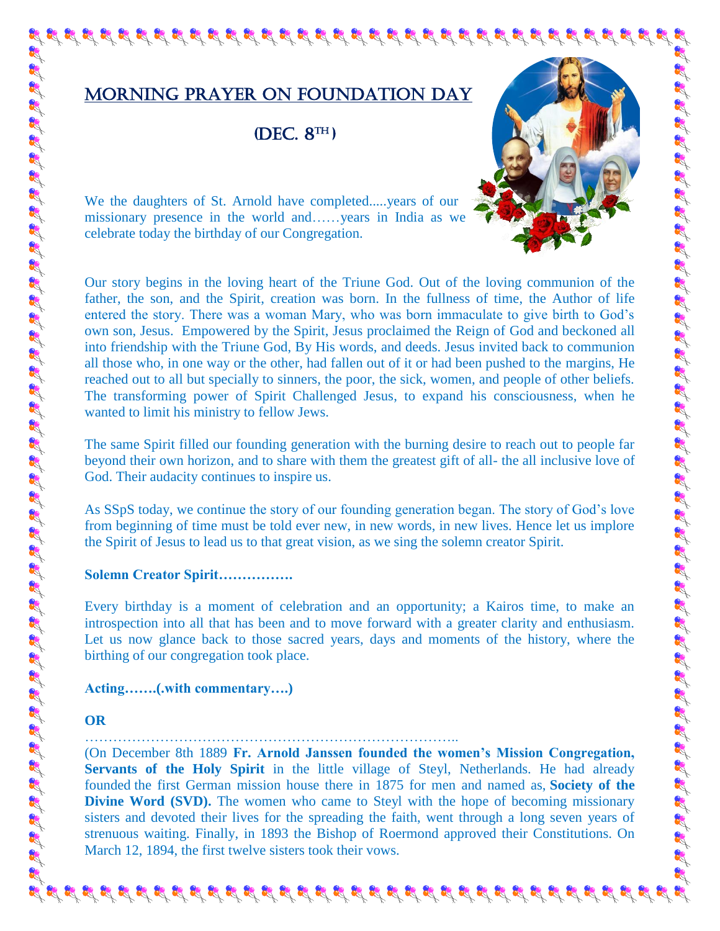## Morning Prayer on Foundation Day

## $(DEC. 8<sup>TH</sup>)$



We the daughters of St. Arnold have completed.....years of our missionary presence in the world and……years in India as we celebrate today the birthday of our Congregation.

Our story begins in the loving heart of the Triune God. Out of the loving communion of the father, the son, and the Spirit, creation was born. In the fullness of time, the Author of life entered the story. There was a woman Mary, who was born immaculate to give birth to God's own son, Jesus. Empowered by the Spirit, Jesus proclaimed the Reign of God and beckoned all into friendship with the Triune God, By His words, and deeds. Jesus invited back to communion all those who, in one way or the other, had fallen out of it or had been pushed to the margins, He reached out to all but specially to sinners, the poor, the sick, women, and people of other beliefs. The transforming power of Spirit Challenged Jesus, to expand his consciousness, when he wanted to limit his ministry to fellow Jews.

The same Spirit filled our founding generation with the burning desire to reach out to people far beyond their own horizon, and to share with them the greatest gift of all- the all inclusive love of God. Their audacity continues to inspire us.

As SSpS today, we continue the story of our founding generation began. The story of God's love from beginning of time must be told ever new, in new words, in new lives. Hence let us implore the Spirit of Jesus to lead us to that great vision, as we sing the solemn creator Spirit.

## **Solemn Creator Spirit…………….**

Every birthday is a moment of celebration and an opportunity; a Kairos time, to make an introspection into all that has been and to move forward with a greater clarity and enthusiasm. Let us now glance back to those sacred years, days and moments of the history, where the birthing of our congregation took place.

**Acting…….(.with commentary….)**

## **OR**

……………………………………………………………………..

(On December 8th 1889 **Fr. Arnold Janssen founded the women's Mission Congregation, Servants of the Holy Spirit** in the little village of Steyl, Netherlands. He had already founded the first German mission house there in 1875 for men and named as, **Society of the Divine Word (SVD).** The women who came to Steyl with the hope of becoming missionary sisters and devoted their lives for the spreading the faith, went through a long seven years of strenuous waiting. Finally, in 1893 the Bishop of Roermond approved their Constitutions. On March 12, 1894, the first twelve sisters took their vows.

 $\mathbb{R}^{2} \otimes \mathbb{R}^{3} \otimes \mathbb{R}^{4} \otimes \mathbb{R}^{5} \otimes \mathbb{R}^{4} \otimes \mathbb{R}^{5} \otimes \mathbb{R}^{4} \otimes \mathbb{R}^{5} \otimes \mathbb{R}^{4} \otimes \mathbb{R}^{4} \otimes \mathbb{R}^{4} \otimes \mathbb{R}^{4} \otimes \mathbb{R}^{4} \otimes \mathbb{R}^{4} \otimes \mathbb{R}^{4} \otimes \mathbb{R}^{4} \otimes \mathbb{R}^{4} \otimes \mathbb{R}^{4} \otimes \mathbb{$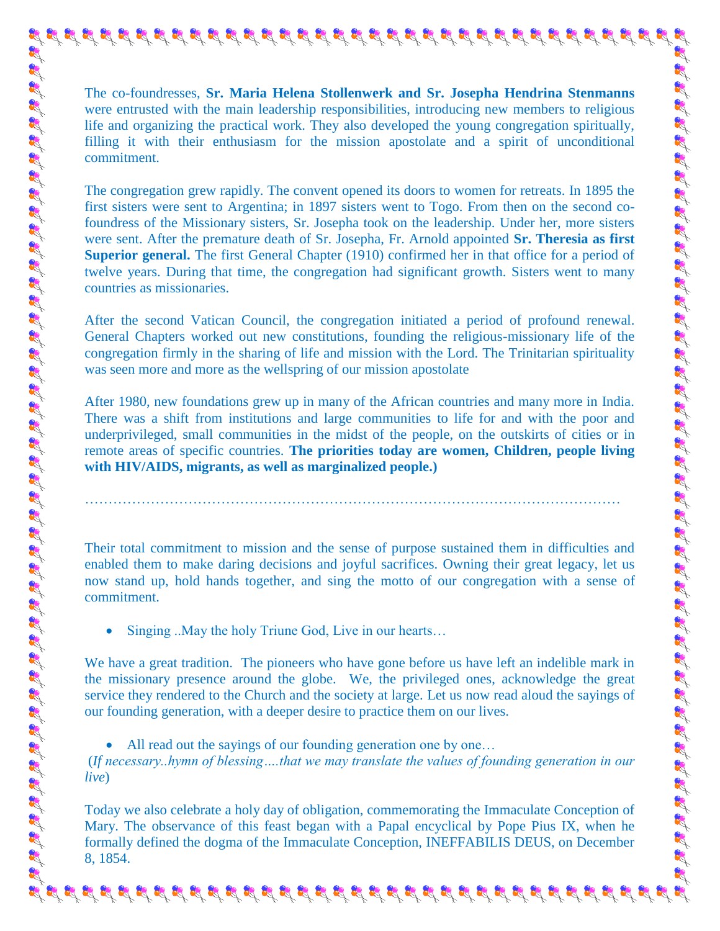The co-foundresses, **Sr. Maria Helena Stollenwerk and Sr. Josepha Hendrina Stenmanns** were entrusted with the main leadership responsibilities, introducing new members to religious life and organizing the practical work. They also developed the young congregation spiritually, filling it with their enthusiasm for the mission apostolate and a spirit of unconditional commitment.

के प्रदर्श के दिख के दिख के दिखे के दिखे के दिखे के दिखे के दिखे के दिखे के दिखे के दिखे के दिखे के दिखे के दि

The congregation grew rapidly. The convent opened its doors to women for retreats. In 1895 the first sisters were sent to Argentina; in 1897 sisters went to Togo. From then on the second cofoundress of the Missionary sisters, Sr. Josepha took on the leadership. Under her, more sisters were sent. After the premature death of Sr. Josepha, Fr. Arnold appointed **Sr. Theresia as first Superior general.** The first General Chapter (1910) confirmed her in that office for a period of twelve years. During that time, the congregation had significant growth. Sisters went to many countries as missionaries.

After the second Vatican Council, the congregation initiated a period of profound renewal. General Chapters worked out new constitutions, founding the religious-missionary life of the congregation firmly in the sharing of life and mission with the Lord. The Trinitarian spirituality was seen more and more as the wellspring of our mission apostolate

After 1980, new foundations grew up in many of the African countries and many more in India. There was a shift from institutions and large communities to life for and with the poor and underprivileged, small communities in the midst of the people, on the outskirts of cities or in remote areas of specific countries. **The priorities today are women, Children, people living with HIV/AIDS, migrants, as well as marginalized people.)**

……………………………………………………………………………………………………

Their total commitment to mission and the sense of purpose sustained them in difficulties and enabled them to make daring decisions and joyful sacrifices. Owning their great legacy, let us now stand up, hold hands together, and sing the motto of our congregation with a sense of commitment.

• Singing ..May the holy Triune God, Live in our hearts...

We have a great tradition. The pioneers who have gone before us have left an indelible mark in the missionary presence around the globe. We, the privileged ones, acknowledge the great service they rendered to the Church and the society at large. Let us now read aloud the sayings of our founding generation, with a deeper desire to practice them on our lives.

• All read out the sayings of our founding generation one by one...

(*If necessary..hymn of blessing….that we may translate the values of founding generation in our live*)

Today we also celebrate a holy day of obligation, commemorating the Immaculate Conception of Mary. The observance of this feast began with a Papal encyclical by Pope Pius IX, when he formally defined the dogma of the Immaculate Conception, INEFFABILIS DEUS, on December 8, 1854.